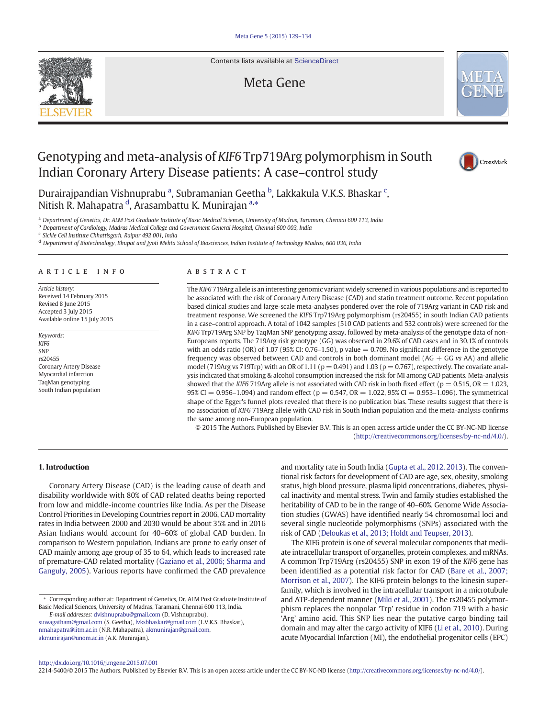Contents lists available at [ScienceDirect](http://www.sciencedirect.com/science/journal/22145400)

## Meta Gene



# Genotyping and meta-analysis of KIF6 Trp719Arg polymorphism in South Indian Coronary Artery Disease patients: A case–control study



Durairajpandian Vishnuprabu <sup>a</sup>, Subramanian Geetha <sup>b</sup>, Lakkakula V.K.S. Bhaskar <sup>c</sup>, Nitish R. Mahapatra <sup>d</sup>, Arasambattu K. Munirajan <sup>a,</sup>\*

a Department of Genetics, Dr. ALM Post Graduate Institute of Basic Medical Sciences, University of Madras, Taramani, Chennai 600 113, India

<sup>b</sup> Department of Cardiology, Madras Medical College and Government General Hospital, Chennai 600 003, India

<sup>c</sup> Sickle Cell Institute Chhattisgarh, Raipur 492 001, India

<sup>d</sup> Department of Biotechnology, Bhupat and Jyoti Mehta School of Biosciences, Indian Institute of Technology Madras, 600 036, India

#### article info abstract

Article history: Received 14 February 2015 Revised 8 June 2015 Accepted 3 July 2015 Available online 15 July 2015

Keywords: KIF6 **SNP** rs20455 Coronary Artery Disease Myocardial infarction TaqMan genotyping South Indian population

The KIF6 719Arg allele is an interesting genomic variant widely screened in various populations and is reported to be associated with the risk of Coronary Artery Disease (CAD) and statin treatment outcome. Recent population based clinical studies and large-scale meta-analyses pondered over the role of 719Arg variant in CAD risk and treatment response. We screened the KIF6 Trp719Arg polymorphism (rs20455) in south Indian CAD patients in a case–control approach. A total of 1042 samples (510 CAD patients and 532 controls) were screened for the KIF6 Trp719Arg SNP by TaqMan SNP genotyping assay, followed by meta-analysis of the genotype data of non-Europeans reports. The 719Arg risk genotype (GG) was observed in 29.6% of CAD cases and in 30.1% of controls with an odds ratio (OR) of 1.07 (95% CI: 0.76–1.50), p value  $= 0.709$ . No significant difference in the genotype frequency was observed between CAD and controls in both dominant model  $(AG + GG \nu s AA)$  and allelic model (719Arg vs 719Trp) with an OR of 1.11 ( $p = 0.491$ ) and 1.03 ( $p = 0.767$ ), respectively. The covariate analysis indicated that smoking & alcohol consumption increased the risk for MI among CAD patients. Meta-analysis showed that the KIF6 719Arg allele is not associated with CAD risk in both fixed effect ( $p = 0.515$ , OR = 1.023, 95% CI = 0.956–1.094) and random effect ( $p = 0.547$ , OR = 1.022, 95% CI = 0.953–1.096). The symmetrical shape of the Egger's funnel plots revealed that there is no publication bias. These results suggest that there is no association of KIF6 719Arg allele with CAD risk in South Indian population and the meta-analysis confirms the same among non-European population.

© 2015 The Authors. Published by Elsevier B.V. This is an open access article under the CC BY-NC-ND license ([http://creativecommons.org/licenses/by-nc-nd/4.0/\)](http://creativecommons.org/licenses/by-nc-nd/4.0/).

### 1. Introduction

Coronary Artery Disease (CAD) is the leading cause of death and disability worldwide with 80% of CAD related deaths being reported from low and middle-income countries like India. As per the Disease Control Priorities in Developing Countries report in 2006, CAD mortality rates in India between 2000 and 2030 would be about 35% and in 2016 Asian Indians would account for 40–60% of global CAD burden. In comparison to Western population, Indians are prone to early onset of CAD mainly among age group of 35 to 64, which leads to increased rate of premature-CAD related mortality [\(Gaziano et al., 2006; Sharma and](#page-5-0) [Ganguly, 2005](#page-5-0)). Various reports have confirmed the CAD prevalence

⁎ Corresponding author at: Department of Genetics, Dr. ALM Post Graduate Institute of Basic Medical Sciences, University of Madras, Taramani, Chennai 600 113, India. E-mail addresses: [dvishnuprabu@gmail.com](mailto:dvishnuprabu@gmail.com) (D. Vishnuprabu),

[suwagatham@gmail.com](mailto:suwagatham@gmail.com) (S. Geetha), [lvksbhaskar@gmail.com](mailto:lvksbhaskar@gmail.com) (L.V.K.S. Bhaskar), [nmahapatra@iitm.ac.in](mailto:nmahapatra@iitm.ac.in) (N.R. Mahapatra), [akmunirajan@gmail.com](mailto:akmunirajan@gmail.com), [akmunirajan@unom.ac.in](mailto:akmunirajan@unom.ac.in) (A.K. Munirajan).

and mortality rate in South India [\(Gupta et al., 2012, 2013](#page-5-0)). The conventional risk factors for development of CAD are age, sex, obesity, smoking status, high blood pressure, plasma lipid concentrations, diabetes, physical inactivity and mental stress. Twin and family studies established the heritability of CAD to be in the range of 40–60%. Genome Wide Association studies (GWAS) have identified nearly 54 chromosomal loci and several single nucleotide polymorphisms (SNPs) associated with the risk of CAD [\(Deloukas et al., 2013; Holdt and Teupser, 2013\)](#page-4-0).

The KIF6 protein is one of several molecular components that mediate intracellular transport of organelles, protein complexes, and mRNAs. A common Trp719Arg (rs20455) SNP in exon 19 of the KIF6 gene has been identified as a potential risk factor for CAD [\(Bare et al., 2007;](#page-4-0) [Morrison et al., 2007\)](#page-4-0). The KIF6 protein belongs to the kinesin superfamily, which is involved in the intracellular transport in a microtubule and ATP-dependent manner [\(Miki et al., 2001](#page-5-0)). The rs20455 polymorphism replaces the nonpolar 'Trp' residue in codon 719 with a basic 'Arg' amino acid. This SNP lies near the putative cargo binding tail domain and may alter the cargo activity of KIF6 [\(Li et al., 2010\)](#page-5-0). During acute Myocardial Infarction (MI), the endothelial progenitor cells (EPC)

<http://dx.doi.org/10.1016/j.mgene.2015.07.001>

2214-5400/© 2015 The Authors. Published by Elsevier B.V. This is an open access article under the CC BY-NC-ND license [\(http://creativecommons.org/licenses/by-nc-nd/4.0/\)](http://creativecommons.org/licenses/by-nc-nd/4.0/).

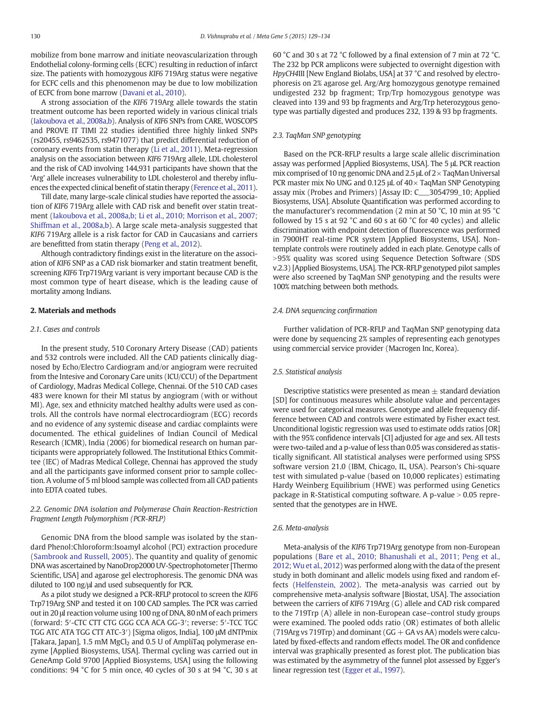mobilize from bone marrow and initiate neovascularization through Endothelial colony-forming cells (ECFC) resulting in reduction of infarct size. The patients with homozygous KIF6 719Arg status were negative for ECFC cells and this phenomenon may be due to low mobilization of ECFC from bone marrow [\(Davani et al., 2010\)](#page-4-0).

A strong association of the KIF6 719Arg allele towards the statin treatment outcome has been reported widely in various clinical trials [\(Iakoubova et al., 2008a,b\)](#page-5-0). Analysis of KIF6 SNPs from CARE, WOSCOPS and PROVE IT TIMI 22 studies identified three highly linked SNPs (rs20455, rs9462535, rs9471077) that predict differential reduction of coronary events from statin therapy [\(Li et al., 2011](#page-5-0)). Meta-regression analysis on the association between KIF6 719Arg allele, LDL cholesterol and the risk of CAD involving 144,931 participants have shown that the 'Arg' allele increases vulnerability to LDL cholesterol and thereby influences the expected clinical benefit of statin therapy [\(Ference et al., 2011\)](#page-5-0).

Till date, many large-scale clinical studies have reported the association of KIF6 719Arg allele with CAD risk and benefit over statin treatment ([Iakoubova et al., 2008a,b; Li et al., 2010; Morrison et al., 2007;](#page-5-0) [Shiffman et al., 2008a,b](#page-5-0)). A large scale meta-analysis suggested that KIF6 719Arg allele is a risk factor for CAD in Caucasians and carriers are benefitted from statin therapy ([Peng et al., 2012\)](#page-5-0).

Although contradictory findings exist in the literature on the association of KIF6 SNP as a CAD risk biomarker and statin treatment benefit, screening KIF6 Trp719Arg variant is very important because CAD is the most common type of heart disease, which is the leading cause of mortality among Indians.

#### 2. Materials and methods

#### 2.1. Cases and controls

In the present study, 510 Coronary Artery Disease (CAD) patients and 532 controls were included. All the CAD patients clinically diagnosed by Echo/Electro Cardiogram and/or angiogram were recruited from the Intesive and Coronary Care units (ICU/CCU) of the Department of Cardiology, Madras Medical College, Chennai. Of the 510 CAD cases 483 were known for their MI status by angiogram (with or without MI). Age, sex and ethnicity matched healthy adults were used as controls. All the controls have normal electrocardiogram (ECG) records and no evidence of any systemic disease and cardiac complaints were documented. The ethical guidelines of Indian Council of Medical Research (ICMR), India (2006) for biomedical research on human participants were appropriately followed. The Institutional Ethics Committee (IEC) of Madras Medical College, Chennai has approved the study and all the participants gave informed consent prior to sample collection. A volume of 5 ml blood sample was collected from all CAD patients into EDTA coated tubes.

#### 2.2. Genomic DNA isolation and Polymerase Chain Reaction-Restriction Fragment Length Polymorphism (PCR-RFLP)

Genomic DNA from the blood sample was isolated by the standard Phenol:Chloroform:Isoamyl alcohol (PCI) extraction procedure [\(Sambrook and Russell, 2005](#page-5-0)). The quantity and quality of genomic DNA was ascertained by NanoDrop2000 UV-Spectrophotometer [Thermo Scientific, USA] and agarose gel electrophoresis. The genomic DNA was diluted to 100 ng/μl and used subsequently for PCR.

As a pilot study we designed a PCR-RFLP protocol to screen the KIF6 Trp719Arg SNP and tested it on 100 CAD samples. The PCR was carried out in 20 μl reaction volume using 100 ng of DNA, 80 nM of each primers (forward: 5′-CTC CTT CTG GGG CCA ACA GG-3′; reverse: 5′-TCC TGC TGG ATC ATA TGG CTT ATC-3′) [Sigma oligos, India], 100 μM dNTPmix [Takara, Japan], 1.5 mM  $MgCl<sub>2</sub>$  and 0.5 U of AmpliTaq polymerase enzyme [Applied Biosystems, USA]. Thermal cycling was carried out in GeneAmp Gold 9700 [Applied Biosystems, USA] using the following conditions: 94 °C for 5 min once, 40 cycles of 30 s at 94 °C, 30 s at 60 °C and 30 s at 72 °C followed by a final extension of 7 min at 72 °C. The 232 bp PCR amplicons were subjected to overnight digestion with HpyCH4III [New England Biolabs, USA] at 37 °C and resolved by electrophoresis on 2% agarose gel. Arg/Arg homozygous genotype remained undigested 232 bp fragment; Trp/Trp homozygous genotype was cleaved into 139 and 93 bp fragments and Arg/Trp heterozygous genotype was partially digested and produces 232, 139 & 93 bp fragments.

#### 2.3. TaqMan SNP genotyping

Based on the PCR-RFLP results a large scale allelic discrimination assay was performed [Applied Biosystems, USA]. The 5 μL PCR reaction mix comprised of 10 ng genomic DNA and 2.5 μL of 2× TaqMan Universal PCR master mix No UNG and 0.125  $\mu$ L of 40  $\times$  TaqMan SNP Genotyping assay mix (Probes and Primers) [Assay ID: C\_\_\_3054799\_10; Applied Biosystems, USA]. Absolute Quantification was performed according to the manufacturer's recommendation (2 min at 50 °C, 10 min at 95 °C followed by 15 s at 92 °C and 60 s at 60 °C for 40 cycles) and allelic discrimination with endpoint detection of fluorescence was performed in 7900HT real-time PCR system [Applied Biosystems, USA]. Nontemplate controls were routinely added in each plate. Genotype calls of >95% quality was scored using Sequence Detection Software (SDS v.2.3) [Applied Biosystems, USA]. The PCR-RFLP genotyped pilot samples were also screened by TaqMan SNP genotyping and the results were 100% matching between both methods.

#### 2.4. DNA sequencing confirmation

Further validation of PCR-RFLP and TaqMan SNP genotyping data were done by sequencing 2% samples of representing each genotypes using commercial service provider (Macrogen Inc, Korea).

#### 2.5. Statistical analysis

Descriptive statistics were presented as mean  $\pm$  standard deviation [SD] for continuous measures while absolute value and percentages were used for categorical measures. Genotype and allele frequency difference between CAD and controls were estimated by Fisher exact test. Unconditional logistic regression was used to estimate odds ratios [OR] with the 95% confidence intervals [CI] adjusted for age and sex. All tests were two-tailed and a p-value of less than 0.05 was considered as statistically significant. All statistical analyses were performed using SPSS software version 21.0 (IBM, Chicago, IL, USA). Pearson's Chi-square test with simulated p-value (based on 10,000 replicates) estimating Hardy Weinberg Equilibrium (HWE) was performed using Genetics package in R-Statistical computing software. A p-value  $> 0.05$  represented that the genotypes are in HWE.

#### 2.6. Meta-analysis

Meta-analysis of the KIF6 Trp719Arg genotype from non-European populations ([Bare et al., 2010; Bhanushali et al., 2011; Peng et al.,](#page-4-0) [2012; Wu et al., 2012\)](#page-4-0) was performed along with the data of the present study in both dominant and allelic models using fixed and random effects ([Helfenstein, 2002\)](#page-5-0). The meta-analysis was carried out by comprehensive meta-analysis software [Biostat, USA]. The association between the carriers of KIF6 719Arg (G) allele and CAD risk compared to the 719Trp (A) allele in non-European case–control study groups were examined. The pooled odds ratio (OR) estimates of both allelic (719Arg vs 719Trp) and dominant ( $GG + GA$  vs AA) models were calculated by fixed-effects and random effects model. The OR and confidence interval was graphically presented as forest plot. The publication bias was estimated by the asymmetry of the funnel plot assessed by Egger's linear regression test [\(Egger et al., 1997](#page-5-0)).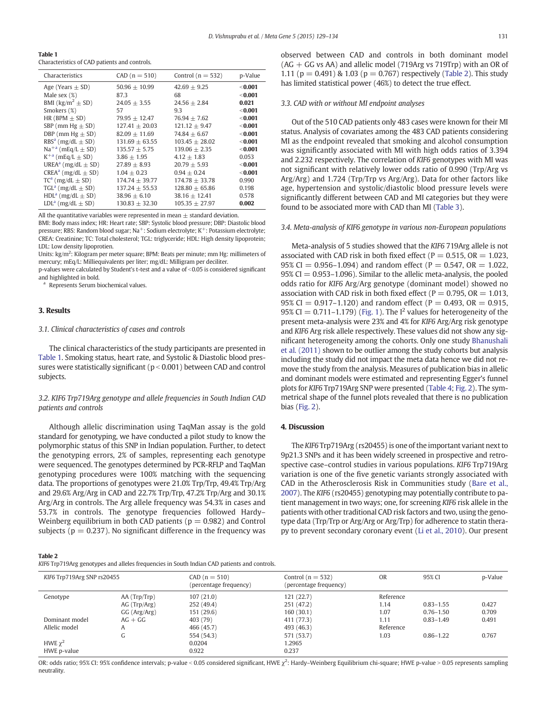| Table 1                                       |  |  |
|-----------------------------------------------|--|--|
| Characteristics of CAD patients and controls. |  |  |

| Characteristics                       | $CAD (n = 510)$  | Control ( $n = 532$ ) | p-Value   |
|---------------------------------------|------------------|-----------------------|-----------|
| Age (Years $\pm$ SD)                  | $50.96 + 10.99$  | $42.69 + 9.25$        | $<$ 0.001 |
| Male sex $(\%)$                       | 87.3             | 68                    | $<$ 0.001 |
| BMI ( $\text{kg/m}^2 \pm \text{SD}$ ) | $24.05 + 3.55$   | $24.56 + 2.84$        | 0.021     |
| Smokers (%)                           | 57               | 9.3                   | $<$ 0.001 |
| HR (BPM $\pm$ SD)                     | $79.95 + 12.47$  | $76.94 + 7.62$        | $<$ 0.001 |
| SBP (mm Hg $\pm$ SD)                  | $127.41 + 20.03$ | $121.12 \pm 9.47$     | $<$ 0.001 |
| DBP (mm Hg $\pm$ SD)                  | $82.09 + 11.69$  | $74.84 + 6.67$        | $<$ 0.001 |
| $RBSa$ (mg/dL $\pm$ SD)               | $131.69 + 63.55$ | $103.45 + 28.02$      | $<$ 0.001 |
| $Na^{+a}$ (mEq/L $\pm$ SD)            | $135.57 + 5.75$  | $139.06 + 2.35$       | $<$ 0.001 |
| $K^{+a}$ (mEq/L $\pm$ SD)             | $3.86 + 1.95$    | $4.12 + 1.83$         | 0.053     |
| UREA <sup>a</sup> (mg/dL $\pm$ SD)    | $27.89 + 8.93$   | $20.79 + 5.93$        | $<$ 0.001 |
| CREA <sup>a</sup> (mg/dL $\pm$ SD)    | $1.04 + 0.23$    | $0.94 + 0.24$         | $<$ 0.001 |
| $TC^a$ (mg/dL $\pm$ SD)               | $174.74 + 39.77$ | $174.78 + 33.78$      | 0.990     |
| TGL <sup>a</sup> (mg/dL $\pm$ SD)     | $137.24 + 55.53$ | $128.80 + 65.86$      | 0.198     |
| $HDLa$ (mg/dL $\pm$ SD)               | $38.96 + 6.10$   | $38.16 + 12.41$       | 0.578     |
| $LDLa$ (mg/dL $\pm$ SD)               | $130.83 + 32.30$ | $105.35 \pm 27.97$    | 0.002     |

All the quantitative variables were represented in mean  $\pm$  standard deviation.

BMI: Body mass index; HR: Heart rate; SBP: Systolic blood pressure; DBP: Diastolic blood pressure; RBS: Random blood sugar; Na<sup>+</sup>: Sodium electrolyte; K<sup>+</sup>: Potassium electrolyte; CREA: Creatinine; TC: Total cholesterol; TGL: triglyceride; HDL: High density lipoprotein; LDL: Low density lipoprotien.

Units: kg/m<sup>2</sup>: Kilogram per meter square; BPM: Beats per minute; mm Hg: millimeters of mercury; mEq/L: Milliequivalents per liter; mg/dL: Milligram per deciliter.

p-values were calculated by Student's t-test and a value of <0.05 is considered significant and highlighted in bold.

Represents Serum biochemical values.

#### 3. Results

#### 3.1. Clinical characteristics of cases and controls

The clinical characteristics of the study participants are presented in Table 1. Smoking status, heart rate, and Systolic & Diastolic blood pressures were statistically significant ( $p < 0.001$ ) between CAD and control subjects.

#### 3.2. KIF6 Trp719Arg genotype and allele frequencies in South Indian CAD patients and controls

Although allelic discrimination using TaqMan assay is the gold standard for genotyping, we have conducted a pilot study to know the polymorphic status of this SNP in Indian population. Further, to detect the genotyping errors, 2% of samples, representing each genotype were sequenced. The genotypes determined by PCR-RFLP and TaqMan genotyping procedures were 100% matching with the sequencing data. The proportions of genotypes were 21.0% Trp/Trp, 49.4% Trp/Arg and 29.6% Arg/Arg in CAD and 22.7% Trp/Trp, 47.2% Trp/Arg and 30.1% Arg/Arg in controls. The Arg allele frequency was 54.3% in cases and 53.7% in controls. The genotype frequencies followed Hardy– Weinberg equilibrium in both CAD patients ( $p = 0.982$ ) and Control subjects ( $p = 0.237$ ). No significant difference in the frequency was

#### Table 2

KIF6 Trp719Arg genotypes and alleles frequencies in South Indian CAD patients and controls.

| KIF6 Trp719Arg SNP rs20455 |                | An o Tip/Tong genotypes and ancies irequencies in south mulan C/iD patients and controls.<br>$CAD (n = 510)$<br>(percentage frequency) | Control $(n = 532)$<br>(percentage frequency) | <b>OR</b> | 95% CI        | p-Value |
|----------------------------|----------------|----------------------------------------------------------------------------------------------------------------------------------------|-----------------------------------------------|-----------|---------------|---------|
| Genotype                   | AA(Trp/Trp)    | 107(21.0)                                                                                                                              | 121 (22.7)                                    | Reference |               |         |
|                            | $AG$ (Trp/Arg) | 252 (49.4)                                                                                                                             | 251 (47.2)                                    | 1.14      | $0.83 - 1.55$ | 0.427   |
|                            | GG (Arg/Arg)   | 151 (29.6)                                                                                                                             | 160 (30.1)                                    | 1.07      | $0.76 - 1.50$ | 0.709   |
| Dominant model             | $AG + GG$      | 403 (79)                                                                                                                               | 411 (77.3)                                    | 1.11      | $0.83 - 1.49$ | 0.491   |
| Allelic model              | A              | 466 (45.7)                                                                                                                             | 493 (46.3)                                    | Reference |               |         |
|                            | G              | 554 (54.3)                                                                                                                             | 571 (53.7)                                    | 1.03      | $0.86 - 1.22$ | 0.767   |
| HWE $\chi^2$               |                | 0.0204                                                                                                                                 | 1.2965                                        |           |               |         |
| HWE p-value                |                | 0.922                                                                                                                                  | 0.237                                         |           |               |         |

OR: odds ratio; 95% CI: 95% confidence intervals; p-value < 0.05 considered significant, HWE  $\chi^2$ : Hardy–Weinberg Equilibrium chi-square; HWE p-value > 0.05 represents sampling neutrality.

observed between CAD and controls in both dominant model  $(AG + GG$  vs AA) and allelic model (719Arg vs 719Trp) with an OR of 1.11 ( $p = 0.491$ ) & 1.03 ( $p = 0.767$ ) respectively (Table 2). This study has limited statistical power (46%) to detect the true effect.

#### 3.3. CAD with or without MI endpoint analyses

Out of the 510 CAD patients only 483 cases were known for their MI status. Analysis of covariates among the 483 CAD patients considering MI as the endpoint revealed that smoking and alcohol consumption was significantly associated with MI with high odds ratios of 3.394 and 2.232 respectively. The correlation of KIF6 genotypes with MI was not significant with relatively lower odds ratio of 0.990 (Trp/Arg vs Arg/Arg) and 1.724 (Trp/Trp vs Arg/Arg). Data for other factors like age, hypertension and systolic/diastolic blood pressure levels were significantly different between CAD and MI categories but they were found to be associated more with CAD than MI [\(Table 3\)](#page-3-0).

#### 3.4. Meta-analysis of KIF6 genotype in various non-European populations

Meta-analysis of 5 studies showed that the KIF6 719Arg allele is not associated with CAD risk in both fixed effect ( $P = 0.515$ , OR = 1.023, 95% CI = 0.956–1.094) and random effect (P = 0.547, OR = 1.022, 95% CI  $= 0.953-1.096$ ). Similar to the allelic meta-analysis, the pooled odds ratio for KIF6 Arg/Arg genotype (dominant model) showed no association with CAD risk in both fixed effect ( $P = 0.795$ ,  $OR = 1.013$ , 95% CI = 0.917-1.120) and random effect (P = 0.493, OR = 0.915, 95% CI = 0.711–1.179) ([Fig. 1](#page-3-0)). The  $I^2$  values for heterogeneity of the present meta-analysis were 23% and 4% for KIF6 Arg/Arg risk genotype and KIF6 Arg risk allele respectively. These values did not show any significant heterogeneity among the cohorts. Only one study [Bhanushali](#page-4-0) [et al. \(2011\)](#page-4-0) shown to be outlier among the study cohorts but analysis including the study did not impact the meta data hence we did not remove the study from the analysis. Measures of publication bias in allelic and dominant models were estimated and representing Egger's funnel plots for KIF6 Trp719Arg SNP were presented [\(Table 4](#page-4-0); [Fig. 2\)](#page-4-0). The symmetrical shape of the funnel plots revealed that there is no publication bias [\(Fig. 2\)](#page-4-0).

#### 4. Discussion

The KIF6 Trp719Arg (rs20455) is one of the important variant next to 9p21.3 SNPs and it has been widely screened in prospective and retrospective case–control studies in various populations. KIF6 Trp719Arg variation is one of the five genetic variants strongly associated with CAD in the Atherosclerosis Risk in Communities study ([Bare et al.,](#page-4-0) [2007](#page-4-0)). The KIF6 (rs20455) genotyping may potentially contribute to patient management in two ways; one, for screening KIF6 risk allele in the patients with other traditional CAD risk factors and two, using the genotype data (Trp/Trp or Arg/Arg or Arg/Trp) for adherence to statin therapy to prevent secondary coronary event [\(Li et al., 2010\)](#page-5-0). Our present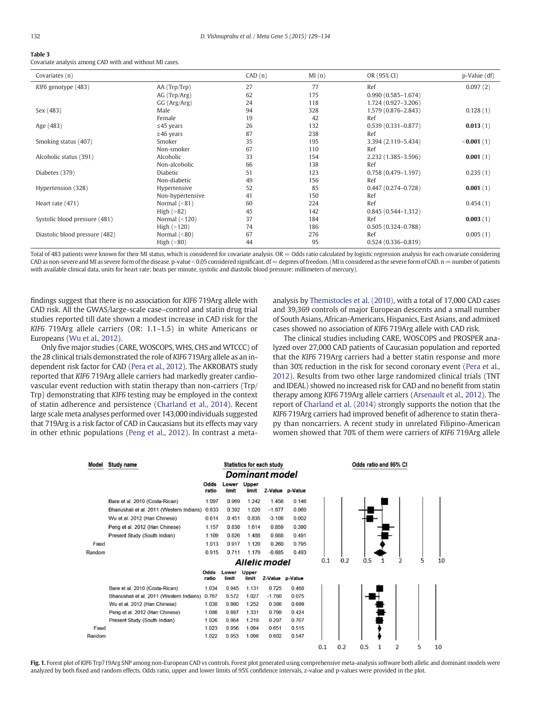<span id="page-3-0"></span>

| ۰. | ۰, |
|----|----|
| I  |    |
|    |    |

## Table 3

| Covariates (n)                 |                  | CAD(n) | MI(n) | OR (95% CI)            | p-Value (df) |
|--------------------------------|------------------|--------|-------|------------------------|--------------|
| KIF6 genotype (483)            | AA (Trp/Trp)     | 27     | 77    | Ref                    | 0.097(2)     |
|                                | $AG$ (Trp/Arg)   | 62     | 175   | $0.990(0.585 - 1.674)$ |              |
|                                | GG (Arg/Arg)     | 24     | 118   | 1.724 (0.927-3.206)    |              |
| Sex (483)                      | Male             | 94     | 328   | 1.579 (0.876-2.843)    | 0.128(1)     |
|                                | Female           | 19     | 42    | Ref                    |              |
| Age (483)                      | $\leq$ 45 years  | 26     | 132   | $0.539(0.331 - 0.877)$ | 0.013(1)     |
|                                | $\geq$ 46 years  | 87     | 238   | Ref                    |              |
| Smoking status (407)           | Smoker           | 35     | 195   | 3.394 (2.119-5.434)    | < 0.001(1)   |
|                                | Non-smoker       | 67     | 110   | Ref                    |              |
| Alcoholic status (391)         | Alcoholic        | 33     | 154   | 2.232 (1.385-3.596)    | 0.001(1)     |
|                                | Non-alcoholic    | 66     | 138   | Ref                    |              |
| Diabetes (379)                 | Diabetic         | 51     | 123   | $0.758(0.479 - 1.197)$ | 0.235(1)     |
|                                | Non-diabetic     | 49     | 156   | Ref                    |              |
| Hypertension (328)             | Hypertensive     | 52     | 85    | $0.447(0.274 - 0.728)$ | 0.001(1)     |
|                                | Non-hypertensive | 41     | 150   | Ref                    |              |
| Heart rate (471)               | Normal $(< 81)$  | 60     | 224   | Ref                    | 0.454(1)     |
|                                | High $(>82)$     | 45     | 142   | $0.845(0.544 - 1.312)$ |              |
| Systolic blood pressure (481)  | Normal $(<120)$  | 37     | 184   | Ref                    | 0.003(1)     |
|                                | High $(>120)$    | 74     | 186   | $0.505(0.324 - 0.788)$ |              |
| Diastolic blood pressure (482) | Normal $(< 80)$  | 67     | 276   | Ref                    | 0.005(1)     |
|                                | High $(>80)$     | 44     | 95    | $0.524(0.336 - 0.819)$ |              |

Total of 483 patients were known for their MI status, which is considered for covariate analysis. OR = Odds ratio calculated by logistic regression analysis for each covariate considering CAD as non-severe and MI as severe form of the disease. p-value < 0.05 considered significant. df = degrees of freedom. (MI is considered as the severe form of CAD. n = number of patients with available clinical data, units for heart rate: beats per minute, systolic and diastolic blood pressure: millimeters of mercury).

findings suggest that there is no association for KIF6 719Arg allele with CAD risk. All the GWAS/large-scale case–control and statin drug trial studies reported till date shown a modest increase in CAD risk for the KIF6 719Arg allele carriers (OR: 1.1–1.5) in white Americans or Europeans ([Wu et al., 2012](#page-5-0)).

Only five major studies (CARE, WOSCOPS, WHS, CHS and WTCCC) of the 28 clinical trials demonstrated the role of KIF6 719Arg allele as an independent risk factor for CAD [\(Pera et al., 2012\)](#page-5-0). The AKROBATS study reported that KIF6 719Arg allele carriers had markedly greater cardiovascular event reduction with statin therapy than non-carriers (Trp/ Trp) demonstrating that KIF6 testing may be employed in the context of statin adherence and persistence ([Charland et al., 2014\)](#page-4-0). Recent large scale meta analyses performed over 143,000 individuals suggested that 719Arg is a risk factor of CAD in Caucasians but its effects may vary in other ethnic populations [\(Peng et al., 2012\)](#page-5-0). In contrast a metaanalysis by [Themistocles et al. \(2010\),](#page-5-0) with a total of 17,000 CAD cases and 39,369 controls of major European descents and a small number of South Asians, African-Americans, Hispanics, East Asians, and admixed cases showed no association of KIF6 719Arg allele with CAD risk.

The clinical studies including CARE, WOSCOPS and PROSPER analyzed over 27,000 CAD patients of Caucasian population and reported that the KIF6 719Arg carriers had a better statin response and more than 30% reduction in the risk for second coronary event [\(Pera et al.,](#page-5-0) [2012](#page-5-0)). Results from two other large randomized clinical trials (TNT and IDEAL) showed no increased risk for CAD and no benefit from statin therapy among KIF6 719Arg allele carriers [\(Arsenault et al., 2012](#page-4-0)). The report of [Charland et al. \(2014\)](#page-4-0) strongly supports the notion that the KIF6 719Arg carriers had improved benefit of adherence to statin therapy than noncarriers. A recent study in unrelated Filipino-American women showed that 70% of them were carriers of KIF6 719Arg allele

| Model  | Study name                               |               |                |                | <b>Statistics for each study</b> |                 |     |     | Odds ratio and 95% CI |   |   |    |
|--------|------------------------------------------|---------------|----------------|----------------|----------------------------------|-----------------|-----|-----|-----------------------|---|---|----|
|        |                                          |               |                |                | <b>Dominant model</b>            |                 |     |     |                       |   |   |    |
|        |                                          | Odds<br>ratio | Lower<br>limit | Upper<br>limit |                                  | Z-Value p-Value |     |     |                       |   |   |    |
|        | Bare et al. 2010 (Costa-Rican)           | 1.097         | 0.969          | 1.242          | 1.456                            | 0.146           |     |     |                       |   |   |    |
|        | Bhanushali et al. 2011 (Western Indians) | 0.633         | 0.392          | 1.020          | $-1.877$                         | 0.060           |     |     |                       |   |   |    |
|        | Wu et al. 2012 (Han Chinese)             | 0.614         | 0.451          | 0.835          | $-3.108$                         | 0.002           |     |     |                       |   |   |    |
|        | Peng et al. 2012 (Han Chinese)           | 1.157         | 0.830          | 1.614          | 0.859                            | 0.390           |     |     |                       |   |   |    |
|        | Present Study (South Indian)             | 1.109         | 0.826          | 1.488          | 0.688                            | 0.491           |     |     |                       |   |   |    |
| Fixed  |                                          | 1.013         | 0.917          | 1.120          | 0.260                            | 0.795           |     |     |                       |   |   |    |
| Random |                                          | 0.915         | 0.711          | 1.179          | $-0.685$                         | 0.493           |     |     |                       |   |   |    |
|        |                                          |               |                |                | Allelic model                    |                 | 0.1 | 0.2 | 0.5                   |   | 5 | 10 |
|        |                                          | Odds<br>ratio | Lower<br>limit | Upper<br>limit | Z-Value p-Value                  |                 |     |     |                       |   |   |    |
|        | Bare et al. 2010 (Costa-Rican)           | 1.034         | 0.945          | 1.131          | 0.725                            | 0.468           |     |     |                       |   |   |    |
|        | Bhanushali et al. 2011 (Western Indians) | 0.767         | 0.572          | 1.027          | $-1.780$                         | 0.075           |     |     |                       |   |   |    |
|        | Wu et al. 2012 (Han Chinese)             | 1.038         | 0.860          | 1.252          | 0.386                            | 0.699           |     |     |                       |   |   |    |
|        | Peng et al. 2012 (Han Chinese)           | 1.086         | 0.887          | 1.331          | 0.799                            | 0.424           |     |     |                       |   |   |    |
|        | Present Study (South Indian)             | 1.026         | 0.864          | 1.219          | 0.297                            | 0.767           |     |     |                       |   |   |    |
| Fixed  |                                          | 1.023         | 0.956          | 1.094          | 0.651                            | 0.515           |     |     |                       |   |   |    |
| Random |                                          | 1.022         | 0.953          | 1.096          | 0.602                            | 0.547           |     |     |                       |   |   |    |
|        |                                          |               |                |                |                                  |                 | 0.1 | 0.2 | 0.5                   | 2 | 5 | 10 |

Fig. 1. Forest plot of KIF6 Trp719Arg SNP among non-European CAD vs controls. Forest plot generated using comprehensive meta-analysis software both allelic and dominant models were analyzed by both fixed and random effects. Odds ratio, upper and lower limits of 95% confidence intervals, z-value and p-values were provided in the plot.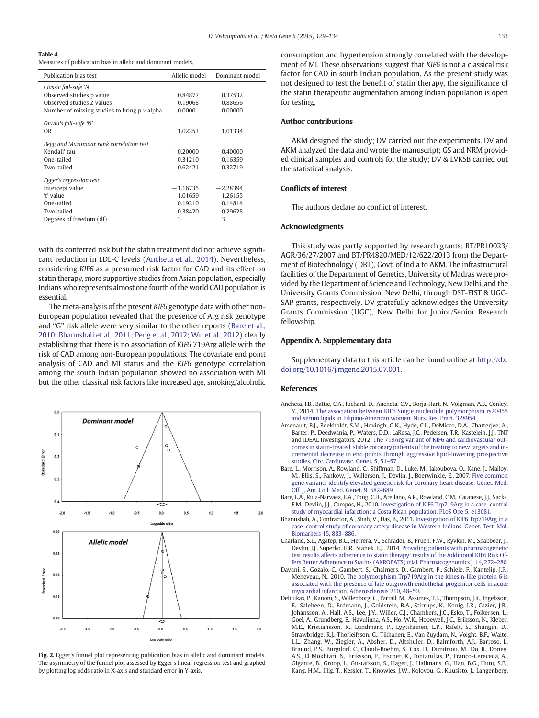<span id="page-4-0"></span>

| Table 4                                                      |  |
|--------------------------------------------------------------|--|
| Measures of publication bias in allelic and dominant models. |  |

| Publication bias test                          | Allelic model | Dominant model |
|------------------------------------------------|---------------|----------------|
| Classic fail-safe 'N'                          |               |                |
| Observed studies p value                       | 0.84877       | 0.37532        |
| Observed studies 7 values                      | 0.19068       | $-0.88656$     |
| Number of missing studies to bring $p > alpha$ | 0.0000        | 0.00000        |
| Orwin's fall-safe 'N'                          |               |                |
| OR.                                            | 1.02253       | 1.01334        |
| Begg and Mazumdar rank correlation test        |               |                |
| Kendall' tau                                   | $-0.20000$    | $-0.40000$     |
| One-tailed                                     | 0.31210       | 0.16359        |
| Two-tailed                                     | 0.62421       | 0.32719        |
| Egger's regression test                        |               |                |
| Intercept value                                | $-1.16735$    | $-2.28394$     |
| 't' value                                      | 1.01659       | 1.26155        |
| One-tailed                                     | 0.19210       | 0.14814        |
| Two-tailed                                     | 0.38420       | 0.29628        |
| Degrees of freedom (df)                        | 3             | 3              |

with its conferred risk but the statin treatment did not achieve significant reduction in LDL-C levels (Ancheta et al., 2014). Nevertheless, considering KIF6 as a presumed risk factor for CAD and its effect on statin therapy, more supportive studies from Asian population, especially Indians who represents almost one fourth of the world CAD population is essential.

The meta-analysis of the present KIF6 genotype data with other non-European population revealed that the presence of Arg risk genotype and "G" risk allele were very similar to the other reports (Bare et al., 2010; Bhanushali et al., 2011; Peng et al., 2012; Wu et al., 2012) clearly establishing that there is no association of KIF6 719Arg allele with the risk of CAD among non-European populations. The covariate end point analysis of CAD and MI status and the KIF6 genotype correlation among the south Indian population showed no association with MI but the other classical risk factors like increased age, smoking/alcoholic



Fig. 2. Egger's funnel plot representing publication bias in allelic and dominant models. The asymmetry of the funnel plot assessed by Egger's linear regression test and graphed by plotting log odds ratio in X-axis and standard error in Y-axis.

consumption and hypertension strongly correlated with the development of MI. These observations suggest that KIF6 is not a classical risk factor for CAD in south Indian population. As the present study was not designed to test the benefit of statin therapy, the significance of the statin therapeutic augmentation among Indian population is open for testing.

#### Author contributions

AKM designed the study; DV carried out the experiments. DV and AKM analyzed the data and wrote the manuscript; GS and NRM provided clinical samples and controls for the study; DV & LVKSB carried out the statistical analysis.

#### Conflicts of interest

The authors declare no conflict of interest.

#### Acknowledgments

This study was partly supported by research grants; BT/PR10023/ AGR/36/27/2007 and BT/PR4820/MED/12/622/2013 from the Department of Biotechnology (DBT), Govt. of India to AKM. The infrastructural facilities of the Department of Genetics, University of Madras were provided by the Department of Science and Technology, New Delhi, and the University Grants Commission, New Delhi, through DST-FIST & UGC-SAP grants, respectively. DV gratefully acknowledges the University Grants Commission (UGC), New Delhi for Junior/Senior Research fellowship.

#### Appendix A. Supplementary data

Supplementary data to this article can be found online at [http://dx.](http://creativecommons.org/licenses/by-nc-nd/4.0/) [doi.org/10.1016/j.mgene.2015.07.001.](http://creativecommons.org/licenses/by-nc-nd/4.0/)

#### References

- Ancheta, I.B., Battie, C.A., Richard, D., Ancheta, C.V., Borja-Hart, N., Volgman, A.S., Conley, Y., 2014. [The association between KIF6 Single nucleotide polymorphism rs20455](http://refhub.elsevier.com/S2214-5400(15)00035-3/rf0005) [and serum lipids in Filipino-American women. Nurs. Res. Pract. 328954](http://refhub.elsevier.com/S2214-5400(15)00035-3/rf0005).
- Arsenault, B.J., Boekholdt, S.M., Hovingh, G.K., Hyde, C.L., DeMicco, D.A., Chatterjee, A., Barter, P., Deedwania, P., Waters, D.D., LaRosa, J.C., Pedersen, T.R., Kastelein, J.J., TNT and IDEAL Investigators, 2012. [The 719Arg variant of KIF6 and cardiovascular out](http://refhub.elsevier.com/S2214-5400(15)00035-3/rf0110)[comes in statin-treated, stable coronary patients of the treating to new targets and in](http://refhub.elsevier.com/S2214-5400(15)00035-3/rf0110)[cremental decrease in end points through aggressive lipid-lowering prospective](http://refhub.elsevier.com/S2214-5400(15)00035-3/rf0110) [studies. Circ. Cardiovasc. Genet. 5, 51](http://refhub.elsevier.com/S2214-5400(15)00035-3/rf0110)–57.
- Bare, L., Morrison, A., Rowland, C., Shiffman, D., Luke, M., Iakoubova, O., Kane, J., Malloy, M., Ellis, S., Pankow, J., Willerson, J., Devlin, J., Boerwinkle, E., 2007. [Five common](http://refhub.elsevier.com/S2214-5400(15)00035-3/rf0010) [gene variants identify elevated genetic risk for coronary heart disease. Genet. Med.](http://refhub.elsevier.com/S2214-5400(15)00035-3/rf0010) [Off. J. Am. Coll. Med. Genet. 9, 682](http://refhub.elsevier.com/S2214-5400(15)00035-3/rf0010)–689.
- Bare, L.A., Ruiz-Narvaez, E.A., Tong, C.H., Arellano, A.R., Rowland, C.M., Catanese, J.J., Sacks, F.M., Devlin, J.J., Campos, H., 2010. [Investigation of KIF6 Trp719Arg in a case](http://refhub.elsevier.com/S2214-5400(15)00035-3/rf0015)–control [study of myocardial infarction: a Costa Rican population. PLoS One 5, e13081.](http://refhub.elsevier.com/S2214-5400(15)00035-3/rf0015)
- Bhanushali, A., Contractor, A., Shah, V., Das, B., 2011. [Investigation of KIF6 Trp719Arg in a](http://refhub.elsevier.com/S2214-5400(15)00035-3/rf0020) case–[control study of coronary artery disease in Western Indians. Genet. Test. Mol.](http://refhub.elsevier.com/S2214-5400(15)00035-3/rf0020) [Biomarkers 15, 883](http://refhub.elsevier.com/S2214-5400(15)00035-3/rf0020)–886.
- Charland, S.L., Agatep, B.C., Herrera, V., Schrader, B., Frueh, F.W., Ryvkin, M., Shabbeer, J., Devlin, J.J., Superko, H.R., Stanek, E.J., 2014. [Providing patients with pharmacogenetic](http://refhub.elsevier.com/S2214-5400(15)00035-3/rf0025) [test results affects adherence to statin therapy: results of the Additional KIF6 Risk Of](http://refhub.elsevier.com/S2214-5400(15)00035-3/rf0025)[fers Better Adherence to Statins \(AKROBATS\) trial. Pharmacogenomics J. 14, 272](http://refhub.elsevier.com/S2214-5400(15)00035-3/rf0025)–280.
- Davani, S., Gozalo, C., Gambert, S., Chalmers, D., Gambert, P., Schiele, F., Kantelip, J.P., Meneveau, N., 2010. [The polymorphism Trp719Arg in the kinesin-like protein 6 is](http://refhub.elsevier.com/S2214-5400(15)00035-3/rf0030) [associated with the presence of late outgrowth endothelial progenitor cells in acute](http://refhub.elsevier.com/S2214-5400(15)00035-3/rf0030) [myocardial infarction. Atherosclerosis 210, 48](http://refhub.elsevier.com/S2214-5400(15)00035-3/rf0030)–50.
- Deloukas, P., Kanoni, S., Willenborg, C., Farrall, M., Assimes, T.L., Thompson, J.R., Ingelsson, E., Saleheen, D., Erdmann, J., Goldstein, B.A., Stirrups, K., Konig, I.R., Cazier, J.B., Johansson, A., Hall, A.S., Lee, J.Y., Willer, C.J., Chambers, J.C., Esko, T., Folkersen, L., Goel, A., Grundberg, E., Havulinna, A.S., Ho, W.K., Hopewell, J.C., Eriksson, N., Kleber, M.E., Kristiansson, K., Lundmark, P., Lyytikainen, L.P., Rafelt, S., Shungin, D., Strawbridge, R.J., Thorleifsson, G., Tikkanen, E., Van Zuydam, N., Voight, B.F., Waite, L.L., Zhang, W., Ziegler, A., Absher, D., Altshuler, D., Balmforth, A.J., Barroso, I., Braund, P.S., Burgdorf, C., Claudi-Boehm, S., Cox, D., Dimitriou, M., Do, R., Doney, A.S., El Mokhtari, N., Eriksson, P., Fischer, K., Fontanillas, P., Franco-Cereceda, A., Gigante, B., Groop, L., Gustafsson, S., Hager, J., Hallmans, G., Han, B.G., Hunt, S.E., Kang, H.M., Illig, T., Kessler, T., Knowles, J.W., Kolovou, G., Kuusisto, J., Langenberg,